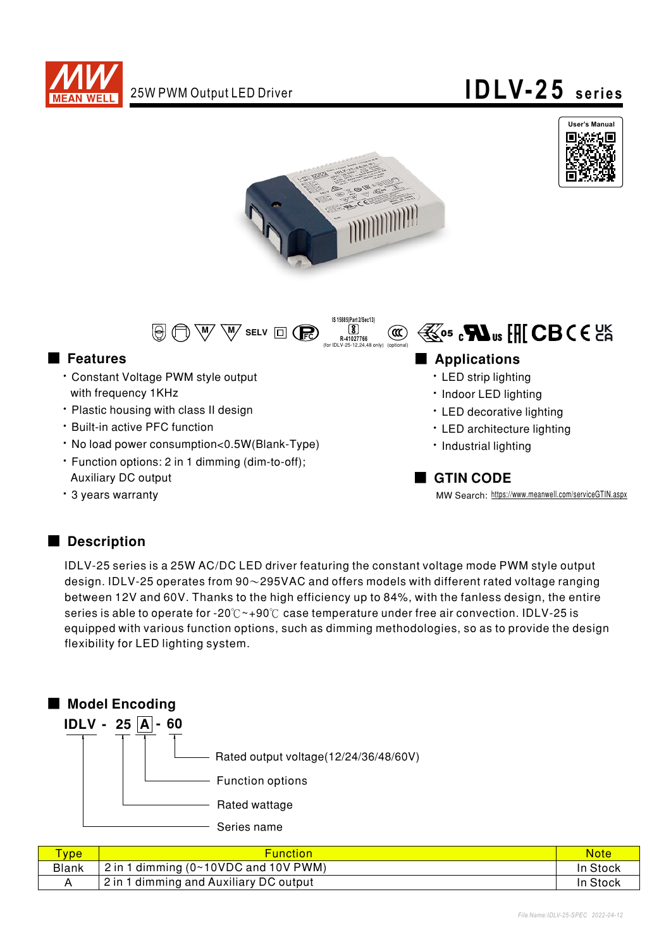

# 25W PWM Output LED Driver **IDLV-25** series







#### ■ Features

- Constant Voltage PWM style output with frequency 1KHz
- Plastic housing with class II design
- **· Built-in active PFC function**
- No load power consumption<0.5W(Blank-Type)
- Function options: 2 in 1 dimming (dim-to-off); **Auxiliary DC output**
- 3 years warranty

### ■ Applications

- LED strip lighting
- Indoor LED lighting
- LED decorative lighting
- LED architecture lighting
- · Industrial lighting

#### ■ GTIN CODE

MW Search: https://www.meanwell.com/serviceGTIN.aspx

### Description

IDLV-25 series is a 25W AC/DC LED driver featuring the constant voltage mode PWM style output design. IDLV-25 operates from  $90\sim$ 295VAC and offers models with different rated voltage ranging between 12V and 60V. Thanks to the high efficiency up to 84%, with the fanless design, the entire series is able to operate for -20°C  $\sim$ +90°C case temperature under free air convection. IDLV-25 is equipped with various function options, such as dimming methodologies, so as to provide the design flexibility for LED lighting system.



| <b>Type</b>  | <b>Function</b>                                     | <b>Note</b> |
|--------------|-----------------------------------------------------|-------------|
| <b>Blank</b> | $2$ in 1 dimming (0~10VDC and 10V PWM)              | In Stock    |
|              | <sup>1</sup> 2 in 1 dimming and Auxiliary DC output | In Stock    |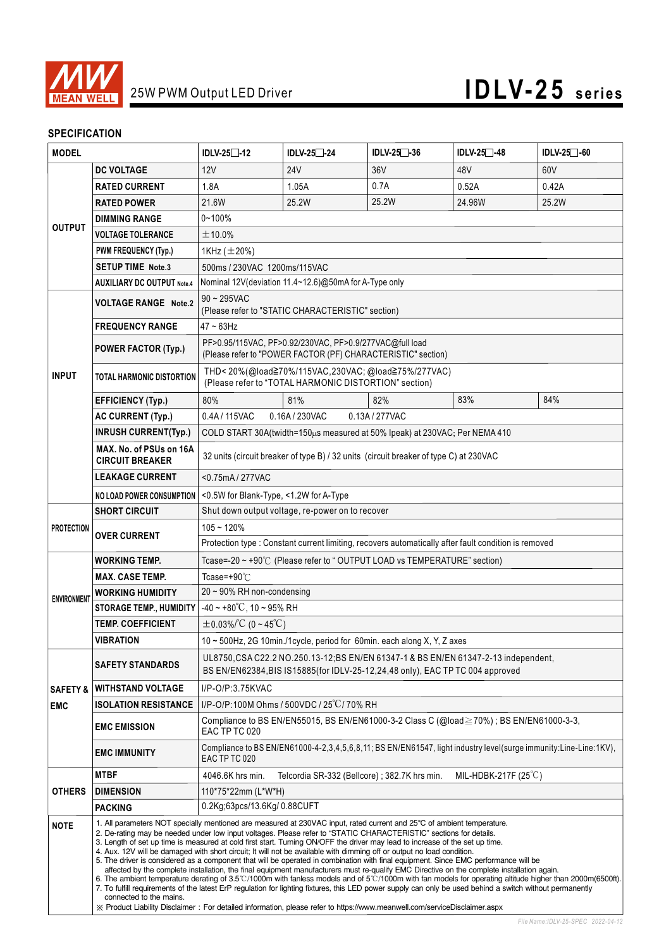

### **SPECIFICATION**

| <b>MODEL</b>                                                                          |                                                                                                                                                                                                                                                                                                                                                                                                                                                                                                                                                                                                                                                                                                                                                                                                                                                                                                                                                                                                                                                                                                                                                                                                                                                                               | IDLV-25□-12                                                                                                                                                            | IDLV-25□-24     | IDLV-25 <sup>-36</sup>                       | IDLV-25 <sup>-48</sup>        | IDLV-25 <sup>-60</sup> |  |  |
|---------------------------------------------------------------------------------------|-------------------------------------------------------------------------------------------------------------------------------------------------------------------------------------------------------------------------------------------------------------------------------------------------------------------------------------------------------------------------------------------------------------------------------------------------------------------------------------------------------------------------------------------------------------------------------------------------------------------------------------------------------------------------------------------------------------------------------------------------------------------------------------------------------------------------------------------------------------------------------------------------------------------------------------------------------------------------------------------------------------------------------------------------------------------------------------------------------------------------------------------------------------------------------------------------------------------------------------------------------------------------------|------------------------------------------------------------------------------------------------------------------------------------------------------------------------|-----------------|----------------------------------------------|-------------------------------|------------------------|--|--|
|                                                                                       | <b>DC VOLTAGE</b>                                                                                                                                                                                                                                                                                                                                                                                                                                                                                                                                                                                                                                                                                                                                                                                                                                                                                                                                                                                                                                                                                                                                                                                                                                                             | 12V                                                                                                                                                                    | 24 <sub>V</sub> | 36V                                          | 48V                           | 60V                    |  |  |
|                                                                                       | <b>RATED CURRENT</b>                                                                                                                                                                                                                                                                                                                                                                                                                                                                                                                                                                                                                                                                                                                                                                                                                                                                                                                                                                                                                                                                                                                                                                                                                                                          | 1.8A                                                                                                                                                                   | 1.05A           | 0.7A                                         | 0.52A                         | 0.42A                  |  |  |
|                                                                                       | <b>RATED POWER</b>                                                                                                                                                                                                                                                                                                                                                                                                                                                                                                                                                                                                                                                                                                                                                                                                                                                                                                                                                                                                                                                                                                                                                                                                                                                            | 21.6W                                                                                                                                                                  | 25.2W           | 25.2W                                        | 24.96W                        | 25.2W                  |  |  |
|                                                                                       | <b>DIMMING RANGE</b>                                                                                                                                                                                                                                                                                                                                                                                                                                                                                                                                                                                                                                                                                                                                                                                                                                                                                                                                                                                                                                                                                                                                                                                                                                                          | $0 - 100%$                                                                                                                                                             |                 |                                              |                               |                        |  |  |
| <b>OUTPUT</b>                                                                         | <b>VOLTAGE TOLERANCE</b>                                                                                                                                                                                                                                                                                                                                                                                                                                                                                                                                                                                                                                                                                                                                                                                                                                                                                                                                                                                                                                                                                                                                                                                                                                                      | ±10.0%                                                                                                                                                                 |                 |                                              |                               |                        |  |  |
|                                                                                       | <b>PWM FREQUENCY (Typ.)</b>                                                                                                                                                                                                                                                                                                                                                                                                                                                                                                                                                                                                                                                                                                                                                                                                                                                                                                                                                                                                                                                                                                                                                                                                                                                   | 1KHz $(\pm 20\%)$                                                                                                                                                      |                 |                                              |                               |                        |  |  |
|                                                                                       | <b>SETUP TIME Note.3</b>                                                                                                                                                                                                                                                                                                                                                                                                                                                                                                                                                                                                                                                                                                                                                                                                                                                                                                                                                                                                                                                                                                                                                                                                                                                      | 500ms / 230VAC 1200ms/115VAC                                                                                                                                           |                 |                                              |                               |                        |  |  |
|                                                                                       | <b>AUXILIARY DC OUTPUT Note.4</b>                                                                                                                                                                                                                                                                                                                                                                                                                                                                                                                                                                                                                                                                                                                                                                                                                                                                                                                                                                                                                                                                                                                                                                                                                                             | Nominal 12V (deviation 11.4~12.6)@50mA for A-Type only                                                                                                                 |                 |                                              |                               |                        |  |  |
|                                                                                       | <b>VOLTAGE RANGE Note.2</b>                                                                                                                                                                                                                                                                                                                                                                                                                                                                                                                                                                                                                                                                                                                                                                                                                                                                                                                                                                                                                                                                                                                                                                                                                                                   | $90 - 295$ VAC                                                                                                                                                         |                 |                                              |                               |                        |  |  |
|                                                                                       | <b>FREQUENCY RANGE</b>                                                                                                                                                                                                                                                                                                                                                                                                                                                                                                                                                                                                                                                                                                                                                                                                                                                                                                                                                                                                                                                                                                                                                                                                                                                        | (Please refer to "STATIC CHARACTERISTIC" section)<br>$47 \sim 63$ Hz                                                                                                   |                 |                                              |                               |                        |  |  |
|                                                                                       | <b>POWER FACTOR (Typ.)</b>                                                                                                                                                                                                                                                                                                                                                                                                                                                                                                                                                                                                                                                                                                                                                                                                                                                                                                                                                                                                                                                                                                                                                                                                                                                    | PF>0.95/115VAC, PF>0.92/230VAC, PF>0.9/277VAC@full load<br>(Please refer to "POWER FACTOR (PF) CHARACTERISTIC" section)                                                |                 |                                              |                               |                        |  |  |
| <b>INPUT</b>                                                                          | <b>TOTAL HARMONIC DISTORTION</b>                                                                                                                                                                                                                                                                                                                                                                                                                                                                                                                                                                                                                                                                                                                                                                                                                                                                                                                                                                                                                                                                                                                                                                                                                                              | THD<20%(@load≧70%/115VAC,230VAC;@load≧75%/277VAC)<br>(Please refer to "TOTAL HARMONIC DISTORTION" section)                                                             |                 |                                              |                               |                        |  |  |
|                                                                                       | <b>EFFICIENCY (Typ.)</b>                                                                                                                                                                                                                                                                                                                                                                                                                                                                                                                                                                                                                                                                                                                                                                                                                                                                                                                                                                                                                                                                                                                                                                                                                                                      | 80%                                                                                                                                                                    | 81%             | 82%                                          | 83%                           | 84%                    |  |  |
|                                                                                       | <b>AC CURRENT (Typ.)</b>                                                                                                                                                                                                                                                                                                                                                                                                                                                                                                                                                                                                                                                                                                                                                                                                                                                                                                                                                                                                                                                                                                                                                                                                                                                      | 0.4A / 115VAC                                                                                                                                                          | 0.16A / 230VAC  | 0.13A / 277VAC                               |                               |                        |  |  |
|                                                                                       | <b>INRUSH CURRENT(Typ.)</b>                                                                                                                                                                                                                                                                                                                                                                                                                                                                                                                                                                                                                                                                                                                                                                                                                                                                                                                                                                                                                                                                                                                                                                                                                                                   | COLD START 30A(twidth=150µs measured at 50% Ipeak) at 230VAC; Per NEMA 410                                                                                             |                 |                                              |                               |                        |  |  |
|                                                                                       | MAX. No. of PSUs on 16A<br><b>CIRCUIT BREAKER</b>                                                                                                                                                                                                                                                                                                                                                                                                                                                                                                                                                                                                                                                                                                                                                                                                                                                                                                                                                                                                                                                                                                                                                                                                                             | 32 units (circuit breaker of type B) / 32 units (circuit breaker of type C) at 230VAC                                                                                  |                 |                                              |                               |                        |  |  |
|                                                                                       | <b>LEAKAGE CURRENT</b>                                                                                                                                                                                                                                                                                                                                                                                                                                                                                                                                                                                                                                                                                                                                                                                                                                                                                                                                                                                                                                                                                                                                                                                                                                                        | <0.75mA/277VAC                                                                                                                                                         |                 |                                              |                               |                        |  |  |
| <0.5W for Blank-Type, <1.2W for A-Type<br>NO LOAD POWER CONSUMPTION                   |                                                                                                                                                                                                                                                                                                                                                                                                                                                                                                                                                                                                                                                                                                                                                                                                                                                                                                                                                                                                                                                                                                                                                                                                                                                                               |                                                                                                                                                                        |                 |                                              |                               |                        |  |  |
|                                                                                       | <b>SHORT CIRCUIT</b>                                                                                                                                                                                                                                                                                                                                                                                                                                                                                                                                                                                                                                                                                                                                                                                                                                                                                                                                                                                                                                                                                                                                                                                                                                                          | Shut down output voltage, re-power on to recover                                                                                                                       |                 |                                              |                               |                        |  |  |
| <b>PROTECTION</b>                                                                     |                                                                                                                                                                                                                                                                                                                                                                                                                                                                                                                                                                                                                                                                                                                                                                                                                                                                                                                                                                                                                                                                                                                                                                                                                                                                               | $105 - 120%$                                                                                                                                                           |                 |                                              |                               |                        |  |  |
|                                                                                       | <b>OVER CURRENT</b>                                                                                                                                                                                                                                                                                                                                                                                                                                                                                                                                                                                                                                                                                                                                                                                                                                                                                                                                                                                                                                                                                                                                                                                                                                                           | Protection type : Constant current limiting, recovers automatically after fault condition is removed                                                                   |                 |                                              |                               |                        |  |  |
|                                                                                       | <b>WORKING TEMP.</b>                                                                                                                                                                                                                                                                                                                                                                                                                                                                                                                                                                                                                                                                                                                                                                                                                                                                                                                                                                                                                                                                                                                                                                                                                                                          | Tcase=-20 ~ +90℃ (Please refer to "OUTPUT LOAD vs TEMPERATURE" section)                                                                                                |                 |                                              |                               |                        |  |  |
|                                                                                       | <b>MAX. CASE TEMP.</b>                                                                                                                                                                                                                                                                                                                                                                                                                                                                                                                                                                                                                                                                                                                                                                                                                                                                                                                                                                                                                                                                                                                                                                                                                                                        | Tcase=+90 $°C$                                                                                                                                                         |                 |                                              |                               |                        |  |  |
| <b>ENVIRONMENT</b>                                                                    | WORKING HUMIDITY                                                                                                                                                                                                                                                                                                                                                                                                                                                                                                                                                                                                                                                                                                                                                                                                                                                                                                                                                                                                                                                                                                                                                                                                                                                              | 20 ~ 90% RH non-condensing                                                                                                                                             |                 |                                              |                               |                        |  |  |
|                                                                                       | <b>STORAGE TEMP., HUMIDITY</b>                                                                                                                                                                                                                                                                                                                                                                                                                                                                                                                                                                                                                                                                                                                                                                                                                                                                                                                                                                                                                                                                                                                                                                                                                                                | $-40 \sim +80^{\circ}$ C, 10 ~ 95% RH                                                                                                                                  |                 |                                              |                               |                        |  |  |
|                                                                                       | <b>TEMP. COEFFICIENT</b>                                                                                                                                                                                                                                                                                                                                                                                                                                                                                                                                                                                                                                                                                                                                                                                                                                                                                                                                                                                                                                                                                                                                                                                                                                                      | $\pm$ 0.03%/°C (0~45°C)                                                                                                                                                |                 |                                              |                               |                        |  |  |
|                                                                                       | <b>VIBRATION</b>                                                                                                                                                                                                                                                                                                                                                                                                                                                                                                                                                                                                                                                                                                                                                                                                                                                                                                                                                                                                                                                                                                                                                                                                                                                              | 10 ~ 500Hz, 2G 10min./1cycle, period for 60min. each along X, Y, Z axes                                                                                                |                 |                                              |                               |                        |  |  |
|                                                                                       | <b>SAFETY STANDARDS</b>                                                                                                                                                                                                                                                                                                                                                                                                                                                                                                                                                                                                                                                                                                                                                                                                                                                                                                                                                                                                                                                                                                                                                                                                                                                       | UL8750, CSA C22.2 NO.250.13-12; BS EN/EN 61347-1 & BS EN/EN 61347-2-13 independent,<br>BS EN/EN62384, BIS IS15885(for IDLV-25-12, 24, 48 only), EAC TP TC 004 approved |                 |                                              |                               |                        |  |  |
| <b>SAFETY &amp;</b>                                                                   | <b>WITHSTAND VOLTAGE</b>                                                                                                                                                                                                                                                                                                                                                                                                                                                                                                                                                                                                                                                                                                                                                                                                                                                                                                                                                                                                                                                                                                                                                                                                                                                      | $I/P$ -O/P:3.75KVAC                                                                                                                                                    |                 |                                              |                               |                        |  |  |
| I/P-O/P:100M Ohms / 500VDC / 25°C/70% RH<br><b>ISOLATION RESISTANCE</b><br><b>EMC</b> |                                                                                                                                                                                                                                                                                                                                                                                                                                                                                                                                                                                                                                                                                                                                                                                                                                                                                                                                                                                                                                                                                                                                                                                                                                                                               |                                                                                                                                                                        |                 |                                              |                               |                        |  |  |
|                                                                                       | <b>EMC EMISSION</b>                                                                                                                                                                                                                                                                                                                                                                                                                                                                                                                                                                                                                                                                                                                                                                                                                                                                                                                                                                                                                                                                                                                                                                                                                                                           | Compliance to BS EN/EN55015, BS EN/EN61000-3-2 Class C (@load $\geq$ 70%); BS EN/EN61000-3-3,<br>EAC TP TC 020                                                         |                 |                                              |                               |                        |  |  |
|                                                                                       | <b>EMC IMMUNITY</b>                                                                                                                                                                                                                                                                                                                                                                                                                                                                                                                                                                                                                                                                                                                                                                                                                                                                                                                                                                                                                                                                                                                                                                                                                                                           | Compliance to BS EN/EN61000-4-2,3,4,5,6,8,11; BS EN/EN61547, light industry level(surge immunity:Line-Line:1KV),<br>EAC TP TC 020                                      |                 |                                              |                               |                        |  |  |
|                                                                                       | <b>MTBF</b>                                                                                                                                                                                                                                                                                                                                                                                                                                                                                                                                                                                                                                                                                                                                                                                                                                                                                                                                                                                                                                                                                                                                                                                                                                                                   | 4046.6K hrs min.                                                                                                                                                       |                 | Telcordia SR-332 (Bellcore); 382.7K hrs min. | MIL-HDBK-217F $(25^{\circ}C)$ |                        |  |  |
| <b>OTHERS</b>                                                                         | <b>DIMENSION</b>                                                                                                                                                                                                                                                                                                                                                                                                                                                                                                                                                                                                                                                                                                                                                                                                                                                                                                                                                                                                                                                                                                                                                                                                                                                              | 110*75*22mm (L*W*H)                                                                                                                                                    |                 |                                              |                               |                        |  |  |
|                                                                                       | <b>PACKING</b>                                                                                                                                                                                                                                                                                                                                                                                                                                                                                                                                                                                                                                                                                                                                                                                                                                                                                                                                                                                                                                                                                                                                                                                                                                                                | 0.2Kg;63pcs/13.6Kg/0.88CUFT                                                                                                                                            |                 |                                              |                               |                        |  |  |
| <b>NOTE</b>                                                                           | 1. All parameters NOT specially mentioned are measured at 230VAC input, rated current and 25°C of ambient temperature.<br>2. De-rating may be needed under low input voltages. Please refer to "STATIC CHARACTERISTIC" sections for details.<br>3. Length of set up time is measured at cold first start. Turning ON/OFF the driver may lead to increase of the set up time.<br>4. Aux. 12V will be damaged with short circuit; It will not be available with dimming off or output no load condition.<br>5. The driver is considered as a component that will be operated in combination with final equipment. Since EMC performance will be<br>affected by the complete installation, the final equipment manufacturers must re-qualify EMC Directive on the complete installation again.<br>6. The ambient temperature derating of 3.5°C/1000m with fanless models and of 5°C/1000m with fan models for operating altitude higher than 2000m(6500ft).<br>7. To fulfill requirements of the latest ErP regulation for lighting fixtures, this LED power supply can only be used behind a switch without permanently<br>connected to the mains.<br>X Product Liability Disclaimer: For detailed information, please refer to https://www.meanwell.com/serviceDisclaimer.aspx |                                                                                                                                                                        |                 |                                              |                               |                        |  |  |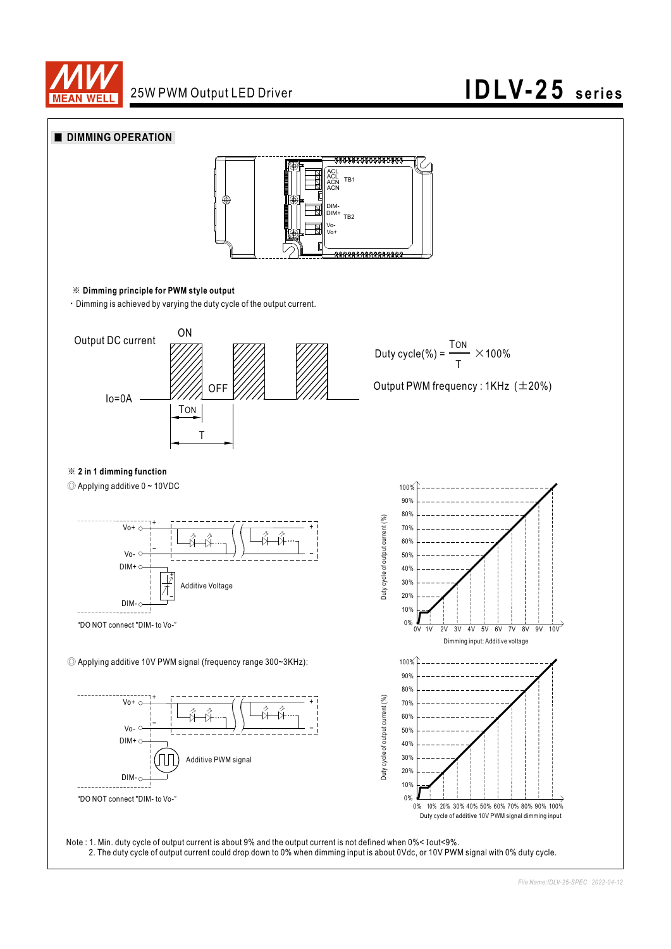

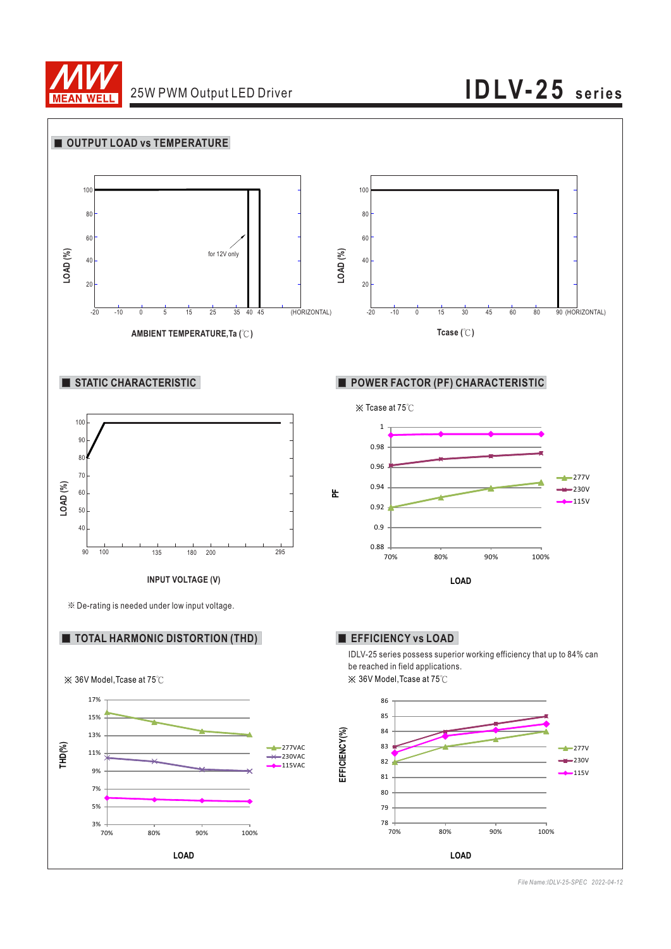

### 25W PWM Output LED Driver **IDLV-25 series**



*File Name:IDLV-25-SPEC 2022-04-12*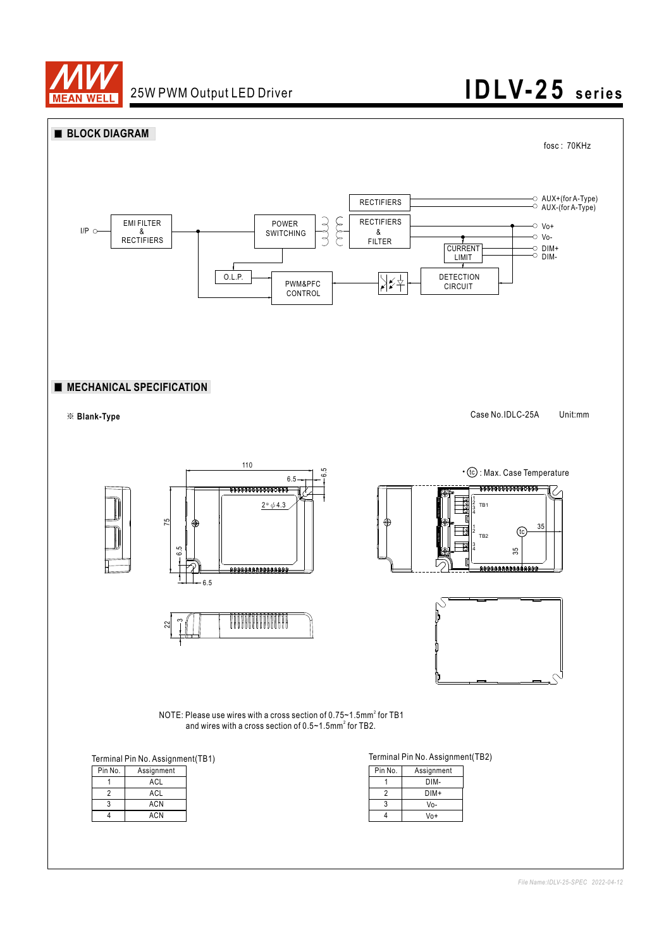

## 25W PWM Output LED Driver **IDLV-25** series